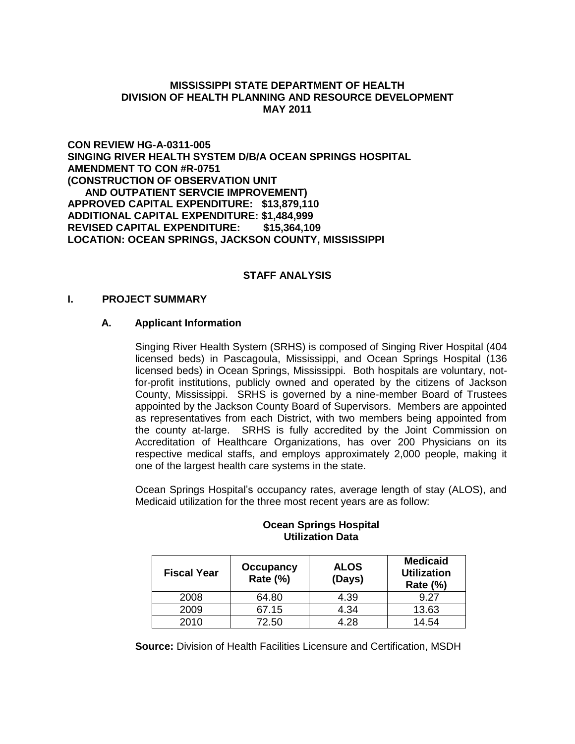### **MISSISSIPPI STATE DEPARTMENT OF HEALTH DIVISION OF HEALTH PLANNING AND RESOURCE DEVELOPMENT MAY 2011**

**CON REVIEW HG-A-0311-005 SINGING RIVER HEALTH SYSTEM D/B/A OCEAN SPRINGS HOSPITAL AMENDMENT TO CON #R-0751 (CONSTRUCTION OF OBSERVATION UNIT AND OUTPATIENT SERVCIE IMPROVEMENT) APPROVED CAPITAL EXPENDITURE: \$13,879,110 ADDITIONAL CAPITAL EXPENDITURE: \$1,484,999 REVISED CAPITAL EXPENDITURE: \$15,364,109 LOCATION: OCEAN SPRINGS, JACKSON COUNTY, MISSISSIPPI**

# **STAFF ANALYSIS**

#### **I. PROJECT SUMMARY**

#### **A. Applicant Information**

Singing River Health System (SRHS) is composed of Singing River Hospital (404 licensed beds) in Pascagoula, Mississippi, and Ocean Springs Hospital (136 licensed beds) in Ocean Springs, Mississippi. Both hospitals are voluntary, notfor-profit institutions, publicly owned and operated by the citizens of Jackson County, Mississippi. SRHS is governed by a nine-member Board of Trustees appointed by the Jackson County Board of Supervisors. Members are appointed as representatives from each District, with two members being appointed from the county at-large. SRHS is fully accredited by the Joint Commission on Accreditation of Healthcare Organizations, has over 200 Physicians on its respective medical staffs, and employs approximately 2,000 people, making it one of the largest health care systems in the state.

Ocean Springs Hospital's occupancy rates, average length of stay (ALOS), and Medicaid utilization for the three most recent years are as follow:

| <b>Fiscal Year</b> | Occupancy<br>Rate (%) | <b>ALOS</b><br>(Days) | <b>Medicaid</b><br><b>Utilization</b><br><b>Rate (%)</b> |
|--------------------|-----------------------|-----------------------|----------------------------------------------------------|
| 2008               | 64.80                 | 4.39                  | 9.27                                                     |
| 2009               | 67.15                 | 4.34                  | 13.63                                                    |
| 2010               | 72.50                 | 4.28                  | 14.54                                                    |

#### **Ocean Springs Hospital Utilization Data**

**Source:** Division of Health Facilities Licensure and Certification, MSDH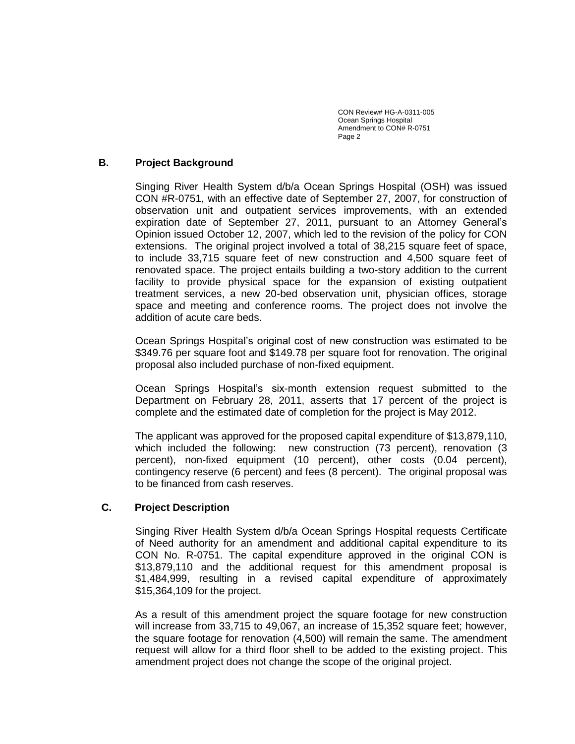### **B. Project Background**

Singing River Health System d/b/a Ocean Springs Hospital (OSH) was issued CON #R-0751, with an effective date of September 27, 2007, for construction of observation unit and outpatient services improvements, with an extended expiration date of September 27, 2011, pursuant to an Attorney General's Opinion issued October 12, 2007, which led to the revision of the policy for CON extensions. The original project involved a total of 38,215 square feet of space, to include 33,715 square feet of new construction and 4,500 square feet of renovated space. The project entails building a two-story addition to the current facility to provide physical space for the expansion of existing outpatient treatment services, a new 20-bed observation unit, physician offices, storage space and meeting and conference rooms. The project does not involve the addition of acute care beds.

Ocean Springs Hospital's original cost of new construction was estimated to be \$349.76 per square foot and \$149.78 per square foot for renovation. The original proposal also included purchase of non-fixed equipment.

Ocean Springs Hospital's six-month extension request submitted to the Department on February 28, 2011, asserts that 17 percent of the project is complete and the estimated date of completion for the project is May 2012.

The applicant was approved for the proposed capital expenditure of \$13,879,110, which included the following: new construction (73 percent), renovation (3 percent), non-fixed equipment (10 percent), other costs (0.04 percent), contingency reserve (6 percent) and fees (8 percent). The original proposal was to be financed from cash reserves.

# **C. Project Description**

Singing River Health System d/b/a Ocean Springs Hospital requests Certificate of Need authority for an amendment and additional capital expenditure to its CON No. R-0751. The capital expenditure approved in the original CON is \$13,879,110 and the additional request for this amendment proposal is \$1,484,999, resulting in a revised capital expenditure of approximately \$15,364,109 for the project.

As a result of this amendment project the square footage for new construction will increase from 33,715 to 49,067, an increase of 15,352 square feet; however, the square footage for renovation (4,500) will remain the same. The amendment request will allow for a third floor shell to be added to the existing project. This amendment project does not change the scope of the original project.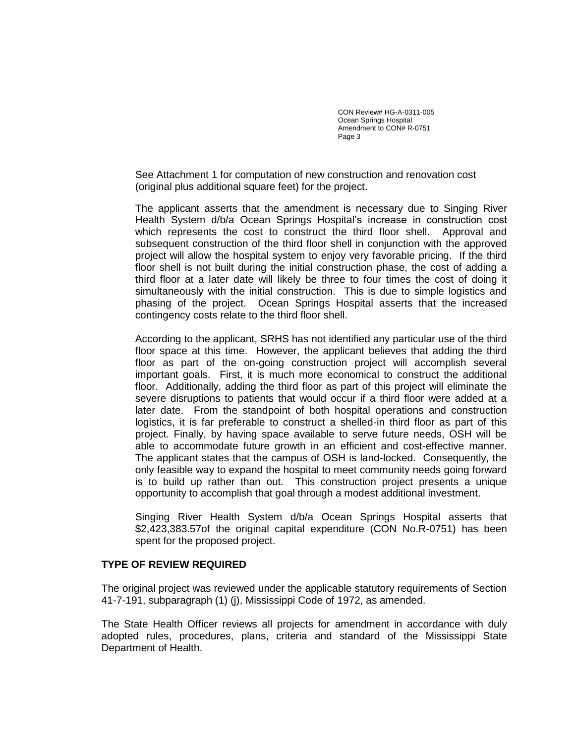See Attachment 1 for computation of new construction and renovation cost (original plus additional square feet) for the project.

The applicant asserts that the amendment is necessary due to Singing River Health System d/b/a Ocean Springs Hospital's increase in construction cost which represents the cost to construct the third floor shell. Approval and subsequent construction of the third floor shell in conjunction with the approved project will allow the hospital system to enjoy very favorable pricing. If the third floor shell is not built during the initial construction phase, the cost of adding a third floor at a later date will likely be three to four times the cost of doing it simultaneously with the initial construction. This is due to simple logistics and phasing of the project. Ocean Springs Hospital asserts that the increased contingency costs relate to the third floor shell.

According to the applicant, SRHS has not identified any particular use of the third floor space at this time. However, the applicant believes that adding the third floor as part of the on-going construction project will accomplish several important goals. First, it is much more economical to construct the additional floor. Additionally, adding the third floor as part of this project will eliminate the severe disruptions to patients that would occur if a third floor were added at a later date. From the standpoint of both hospital operations and construction logistics, it is far preferable to construct a shelled-in third floor as part of this project. Finally, by having space available to serve future needs, OSH will be able to accommodate future growth in an efficient and cost-effective manner. The applicant states that the campus of OSH is land-locked. Consequently, the only feasible way to expand the hospital to meet community needs going forward is to build up rather than out. This construction project presents a unique opportunity to accomplish that goal through a modest additional investment.

Singing River Health System d/b/a Ocean Springs Hospital asserts that \$2,423,383.57of the original capital expenditure (CON No.R-0751) has been spent for the proposed project.

#### **TYPE OF REVIEW REQUIRED**

The original project was reviewed under the applicable statutory requirements of Section 41-7-191, subparagraph (1) (j), Mississippi Code of 1972, as amended.

The State Health Officer reviews all projects for amendment in accordance with duly adopted rules, procedures, plans, criteria and standard of the Mississippi State Department of Health.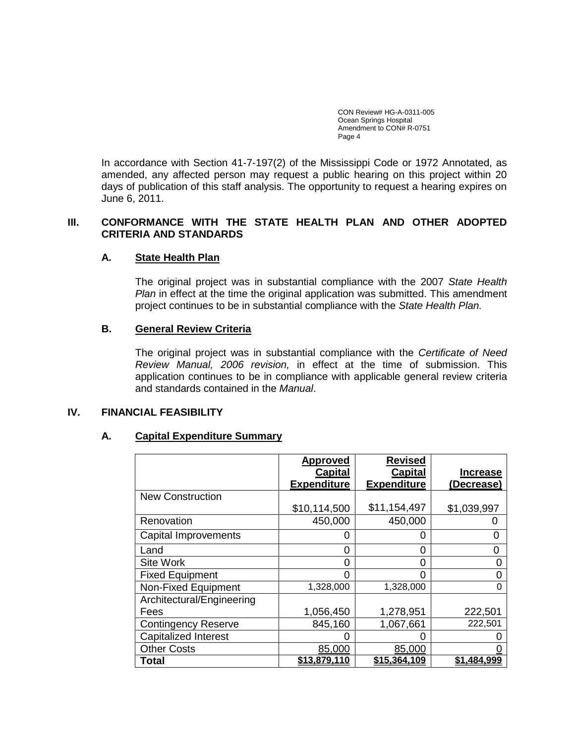In accordance with Section 41-7-197(2) of the Mississippi Code or 1972 Annotated, as amended, any affected person may request a public hearing on this project within 20 days of publication of this staff analysis. The opportunity to request a hearing expires on June 6, 2011.

# **III. CONFORMANCE WITH THE STATE HEALTH PLAN AND OTHER ADOPTED CRITERIA AND STANDARDS**

# **A. State Health Plan**

The original project was in substantial compliance with the 2007 *State Health Plan* in effect at the time the original application was submitted. This amendment project continues to be in substantial compliance with the *State Health Plan.*

# **B. General Review Criteria**

The original project was in substantial compliance with the *Certificate of Need Review Manual, 2006 revision,* in effect at the time of submission. This application continues to be in compliance with applicable general review criteria and standards contained in the *Manual*.

#### **IV. FINANCIAL FEASIBILITY**

#### **A. Capital Expenditure Summary**

|                             | <b>Approved</b>    | <b>Revised</b>     |                 |
|-----------------------------|--------------------|--------------------|-----------------|
|                             | <b>Capital</b>     | <b>Capital</b>     | <b>Increase</b> |
|                             | <b>Expenditure</b> | <b>Expenditure</b> | (Decrease)      |
| <b>New Construction</b>     |                    |                    |                 |
|                             | \$10,114,500       | \$11,154,497       | \$1,039,997     |
| Renovation                  | 450,000            | 450,000            |                 |
| <b>Capital Improvements</b> | 0                  | 0                  | O               |
| Land                        | 0                  | 0                  | 0               |
| <b>Site Work</b>            | 0                  | 0                  | $\Omega$        |
| <b>Fixed Equipment</b>      | ი                  | 0                  |                 |
| Non-Fixed Equipment         | 1,328,000          | 1,328,000          | 0               |
| Architectural/Engineering   |                    |                    |                 |
| Fees                        | 1,056,450          | 1,278,951          | 222,501         |
| <b>Contingency Reserve</b>  | 845,160            | 1,067,661          | 222,501         |
| <b>Capitalized Interest</b> | Ω                  | O                  |                 |
| <b>Other Costs</b>          | 85,000             | 85,000             |                 |
| Total                       | \$13,879,110       | \$15,364,109       | \$1.484,999     |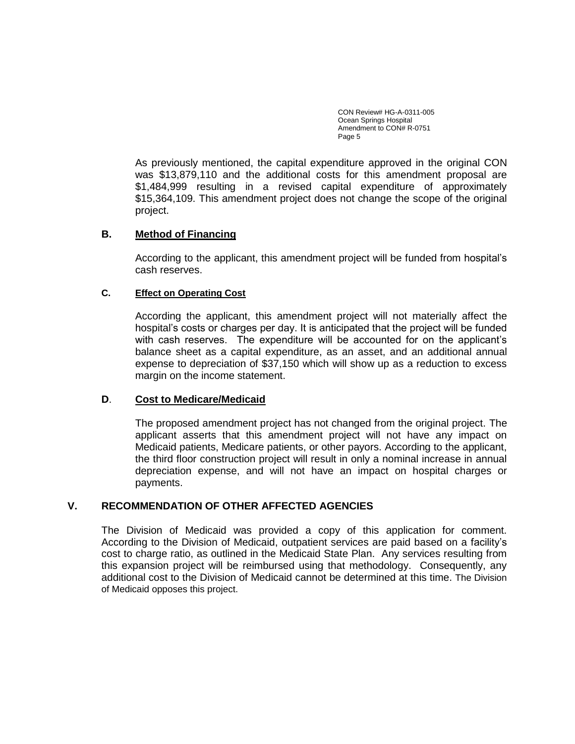As previously mentioned, the capital expenditure approved in the original CON was \$13,879,110 and the additional costs for this amendment proposal are \$1,484,999 resulting in a revised capital expenditure of approximately \$15,364,109. This amendment project does not change the scope of the original project.

# **B. Method of Financing**

According to the applicant, this amendment project will be funded from hospital's cash reserves.

# **C. Effect on Operating Cost**

According the applicant, this amendment project will not materially affect the hospital's costs or charges per day. It is anticipated that the project will be funded with cash reserves. The expenditure will be accounted for on the applicant's balance sheet as a capital expenditure, as an asset, and an additional annual expense to depreciation of \$37,150 which will show up as a reduction to excess margin on the income statement.

# **D**. **Cost to Medicare/Medicaid**

The proposed amendment project has not changed from the original project. The applicant asserts that this amendment project will not have any impact on Medicaid patients, Medicare patients, or other payors. According to the applicant, the third floor construction project will result in only a nominal increase in annual depreciation expense, and will not have an impact on hospital charges or payments.

# **V. RECOMMENDATION OF OTHER AFFECTED AGENCIES**

The Division of Medicaid was provided a copy of this application for comment. According to the Division of Medicaid, outpatient services are paid based on a facility's cost to charge ratio, as outlined in the Medicaid State Plan. Any services resulting from this expansion project will be reimbursed using that methodology. Consequently, any additional cost to the Division of Medicaid cannot be determined at this time. The Division of Medicaid opposes this project.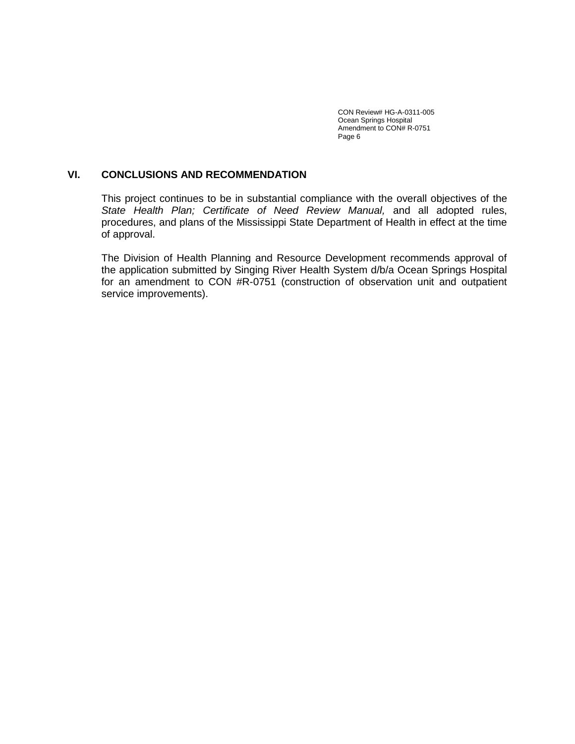### **VI. CONCLUSIONS AND RECOMMENDATION**

This project continues to be in substantial compliance with the overall objectives of the *State Health Plan; Certificate of Need Review Manual,* and all adopted rules, procedures, and plans of the Mississippi State Department of Health in effect at the time of approval.

The Division of Health Planning and Resource Development recommends approval of the application submitted by Singing River Health System d/b/a Ocean Springs Hospital for an amendment to CON #R-0751 (construction of observation unit and outpatient service improvements).